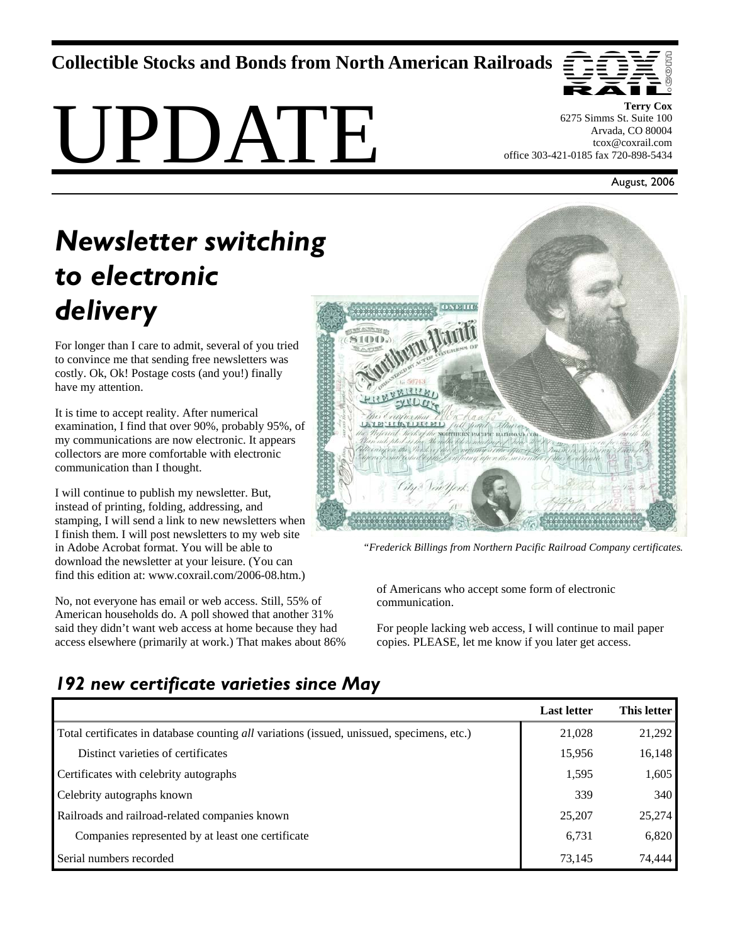**Collectible Stocks and Bonds from North American Railroads** 

# UPDATE



**Terry Cox**  6275 Simms St. Suite 100 Arvada, CO 80004 tcox@coxrail.com office 303-421-0185 fax 720-898-5434

August, 2006

# *Newsletter switching to electronic delivery*

For longer than I care to admit, several of you tried to convince me that sending free newsletters was costly. Ok, Ok! Postage costs (and you!) finally have my attention.

It is time to accept reality. After numerical examination, I find that over 90%, probably 95%, of my communications are now electronic. It appears collectors are more comfortable with electronic communication than I thought.

I will continue to publish my newsletter. But, instead of printing, folding, addressing, and stamping, I will send a link to new newsletters when I finish them. I will post newsletters to my web site in Adobe Acrobat format. You will be able to download the newsletter at your leisure. (You can find this edition at: www.coxrail.com/2006-08.htm.)

No, not everyone has email or web access. Still, 55% of American households do. A poll showed that another 31% said they didn't want web access at home because they had access elsewhere (primarily at work.) That makes about 86%



*"Frederick Billings from Northern Pacific Railroad Company certificates.* 

of Americans who accept some form of electronic communication.

For people lacking web access, I will continue to mail paper copies. PLEASE, let me know if you later get access.

|                                                                                            | <b>Last letter</b> | This letter |
|--------------------------------------------------------------------------------------------|--------------------|-------------|
| Total certificates in database counting all variations (issued, unissued, specimens, etc.) | 21,028             | 21,292      |
| Distinct varieties of certificates                                                         | 15,956             | 16,148      |
| Certificates with celebrity autographs                                                     | 1,595              | 1,605       |
| Celebrity autographs known                                                                 | 339                | 340         |
| Railroads and railroad-related companies known                                             | 25,207             | 25,274      |
| Companies represented by at least one certificate                                          | 6,731              | 6,820       |
| Serial numbers recorded                                                                    | 73,145             | 74,444      |

## *192 new certificate varieties since May*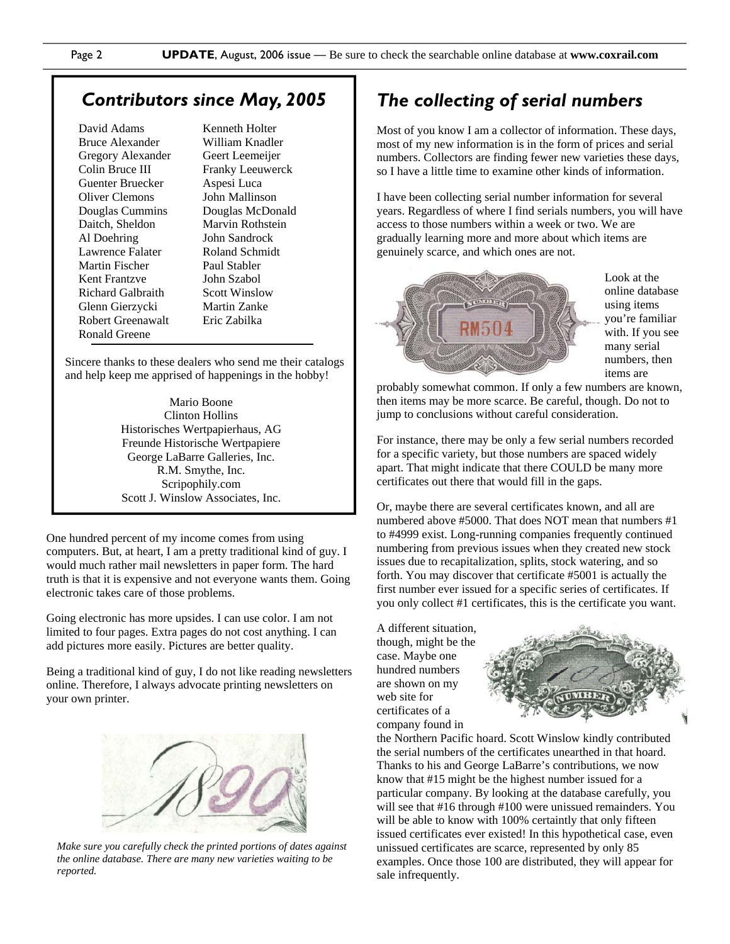#### *Contributors since May, 2005*

David Adams Bruce Alexander Gregory Alexander Colin Bruce III Guenter Bruecker Oliver Clemons Douglas Cummins Daitch, Sheldon Al Doehring Lawrence Falater Martin Fischer Kent Frantzve Richard Galbraith Glenn Gierzycki Robert Greenawalt Ronald Greene

Kenneth Holter William Knadler Geert Leemeijer Franky Leeuwerck Aspesi Luca John Mallinson Douglas McDonald Marvin Rothstein John Sandrock Roland Schmidt Paul Stabler John Szabol Scott Winslow Martin Zanke Eric Zabilka

Sincere thanks to these dealers who send me their catalogs and help keep me apprised of happenings in the hobby!

> Mario Boone Clinton Hollins Historisches Wertpapierhaus, AG Freunde Historische Wertpapiere George LaBarre Galleries, Inc. R.M. Smythe, Inc. Scripophily.com Scott J. Winslow Associates, Inc.

One hundred percent of my income comes from using computers. But, at heart, I am a pretty traditional kind of guy. I would much rather mail newsletters in paper form. The hard truth is that it is expensive and not everyone wants them. Going electronic takes care of those problems.

Going electronic has more upsides. I can use color. I am not limited to four pages. Extra pages do not cost anything. I can add pictures more easily. Pictures are better quality.

Being a traditional kind of guy, I do not like reading newsletters online. Therefore, I always advocate printing newsletters on your own printer.



*Make sure you carefully check the printed portions of dates against the online database. There are many new varieties waiting to be reported.* 

### *The collecting of serial numbers*

Most of you know I am a collector of information. These days, most of my new information is in the form of prices and serial numbers. Collectors are finding fewer new varieties these days, so I have a little time to examine other kinds of information.

I have been collecting serial number information for several years. Regardless of where I find serials numbers, you will have access to those numbers within a week or two. We are gradually learning more and more about which items are genuinely scarce, and which ones are not.



Look at the online database using items you're familiar with. If you see many serial numbers, then items are

probably somewhat common. If only a few numbers are known, then items may be more scarce. Be careful, though. Do not to jump to conclusions without careful consideration.

For instance, there may be only a few serial numbers recorded for a specific variety, but those numbers are spaced widely apart. That might indicate that there COULD be many more certificates out there that would fill in the gaps.

Or, maybe there are several certificates known, and all are numbered above #5000. That does NOT mean that numbers #1 to #4999 exist. Long-running companies frequently continued numbering from previous issues when they created new stock issues due to recapitalization, splits, stock watering, and so forth. You may discover that certificate #5001 is actually the first number ever issued for a specific series of certificates. If you only collect #1 certificates, this is the certificate you want.

A different situation, though, might be the case. Maybe one hundred numbers are shown on my web site for certificates of a company found in



the Northern Pacific hoard. Scott Winslow kindly contributed the serial numbers of the certificates unearthed in that hoard. Thanks to his and George LaBarre's contributions, we now know that #15 might be the highest number issued for a particular company. By looking at the database carefully, you will see that #16 through #100 were unissued remainders. You will be able to know with 100% certaintly that only fifteen issued certificates ever existed! In this hypothetical case, even unissued certificates are scarce, represented by only 85 examples. Once those 100 are distributed, they will appear for sale infrequently.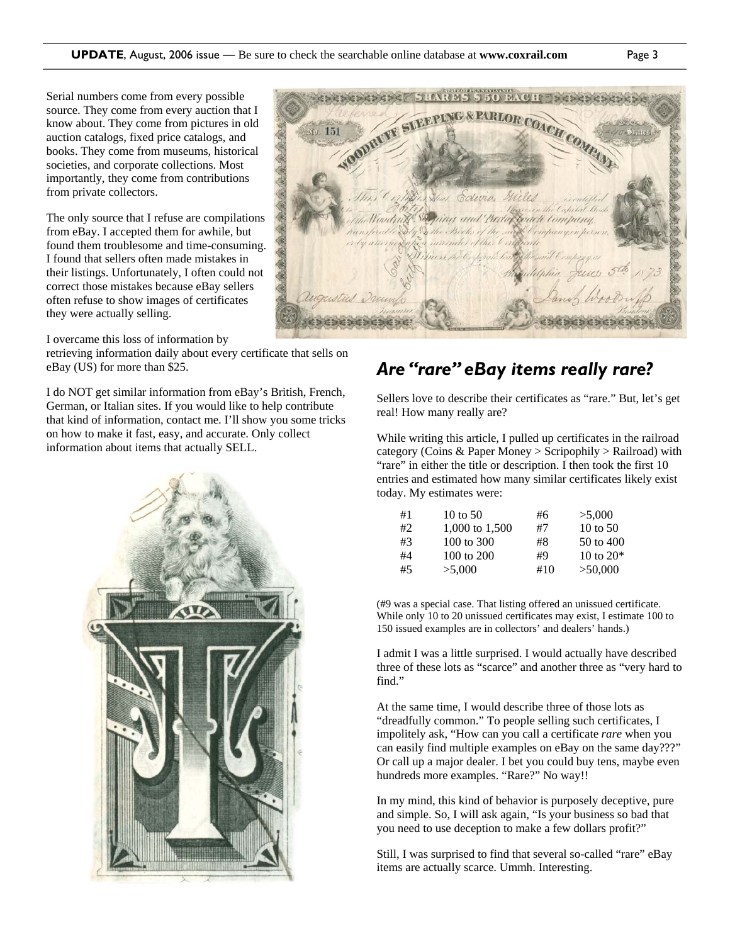Serial numbers come from every possible source. They come from every auction that I know about. They come from pictures in old auction catalogs, fixed price catalogs, and books. They come from museums, historical societies, and corporate collections. Most importantly, they come from contributions from private collectors.

The only source that I refuse are compilations from eBay. I accepted them for awhile, but found them troublesome and time-consuming. I found that sellers often made mistakes in their listings. Unfortunately, I often could not correct those mistakes because eBay sellers often refuse to show images of certificates they were actually selling.

I overcame this loss of information by

retrieving information daily about every certificate that sells on eBay (US) for more than \$25.

I do NOT get similar information from eBay's British, French, German, or Italian sites. If you would like to help contribute that kind of information, contact me. I'll show you some tricks on how to make it fast, easy, and accurate. Only collect information about items that actually SELL.





#### *Are "rare" eBay items really rare?*

Sellers love to describe their certificates as "rare." But, let's get real! How many really are?

While writing this article, I pulled up certificates in the railroad category (Coins & Paper Money > Scripophily > Railroad) with "rare" in either the title or description. I then took the first 10 entries and estimated how many similar certificates likely exist today. My estimates were:

| #1 | 10 to $50$     | #6  | >5.000               |
|----|----------------|-----|----------------------|
| #2 | 1,000 to 1,500 | #7  | $10 \text{ to } 50$  |
| #3 | 100 to 300     | #8  | $50 \text{ to } 400$ |
| #4 | 100 to 200     | #9  | 10 to $20*$          |
| #5 | >5,000         | #10 | >50,000              |

(#9 was a special case. That listing offered an unissued certificate. While only 10 to 20 unissued certificates may exist, I estimate 100 to 150 issued examples are in collectors' and dealers' hands.)

I admit I was a little surprised. I would actually have described three of these lots as "scarce" and another three as "very hard to find."

At the same time, I would describe three of those lots as "dreadfully common." To people selling such certificates, I impolitely ask, "How can you call a certificate *rare* when you can easily find multiple examples on eBay on the same day???" Or call up a major dealer. I bet you could buy tens, maybe even hundreds more examples. "Rare?" No way!!

In my mind, this kind of behavior is purposely deceptive, pure and simple. So, I will ask again, "Is your business so bad that you need to use deception to make a few dollars profit?"

Still, I was surprised to find that several so-called "rare" eBay items are actually scarce. Ummh. Interesting.